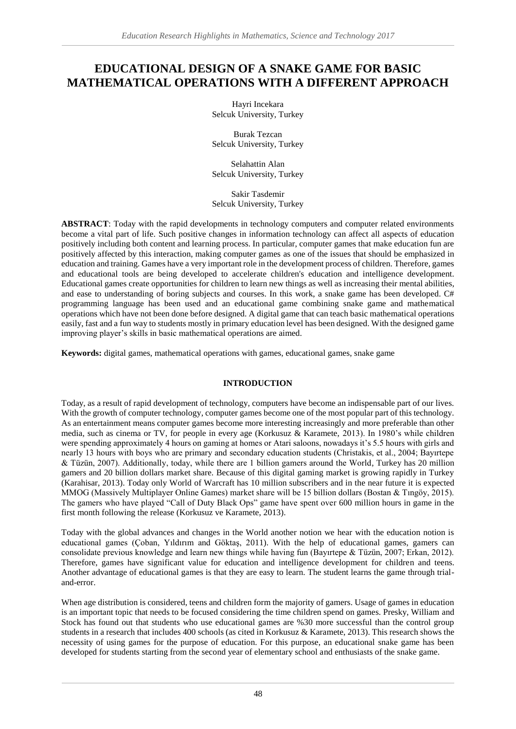# **EDUCATIONAL DESIGN OF A SNAKE GAME FOR BASIC MATHEMATICAL OPERATIONS WITH A DIFFERENT APPROACH**

Hayri Incekara Selcuk University, Turkey

Burak Tezcan Selcuk University, Turkey

Selahattin Alan Selcuk University, Turkey

Sakir Tasdemir Selcuk University, Turkey

**ABSTRACT**: Today with the rapid developments in technology computers and computer related environments become a vital part of life. Such positive changes in information technology can affect all aspects of education positively including both content and learning process. In particular, computer games that make education fun are positively affected by this interaction, making computer games as one of the issues that should be emphasized in education and training. Games have a very important role in the development process of children. Therefore, games and educational tools are being developed to accelerate children's education and intelligence development. Educational games create opportunities for children to learn new things as well as increasing their mental abilities, and ease to understanding of boring subjects and courses. In this work, a snake game has been developed.  $C#$ programming language has been used and an educational game combining snake game and mathematical operations which have not been done before designed. A digital game that can teach basic mathematical operations easily, fast and a fun way to students mostly in primary education level has been designed. With the designed game improving player's skills in basic mathematical operations are aimed.

**Keywords:** digital games, mathematical operations with games, educational games, snake game

# **INTRODUCTION**

Today, as a result of rapid development of technology, computers have become an indispensable part of our lives. With the growth of computer technology, computer games become one of the most popular part of this technology. As an entertainment means computer games become more interesting increasingly and more preferable than other media, such as cinema or TV, for people in every age (Korkusuz & Karamete, 2013). In 1980's while children were spending approximately 4 hours on gaming at homes or Atari saloons, nowadays it's 5.5 hours with girls and nearly 13 hours with boys who are primary and secondary education students (Christakis, et al., 2004; Bayırtepe & Tüzün, 2007). Additionally, today, while there are 1 billion gamers around the World, Turkey has 20 million gamers and 20 billion dollars market share. Because of this digital gaming market is growing rapidly in Turkey (Karahisar, 2013). Today only World of Warcraft has 10 million subscribers and in the near future it is expected MMOG (Massively Multiplayer Online Games) market share will be 15 billion dollars (Bostan & Tıngöy, 2015). The gamers who have played "Call of Duty Black Ops" game have spent over 600 million hours in game in the first month following the release (Korkusuz ve Karamete, 2013).

Today with the global advances and changes in the World another notion we hear with the education notion is educational games (Çoban, Yıldırım and Göktaş, 2011). With the help of educational games, gamers can consolidate previous knowledge and learn new things while having fun (Bayırtepe & Tüzün, 2007; Erkan, 2012). Therefore, games have significant value for education and intelligence development for children and teens. Another advantage of educational games is that they are easy to learn. The student learns the game through trialand-error.

When age distribution is considered, teens and children form the majority of gamers. Usage of games in education is an important topic that needs to be focused considering the time children spend on games. Presky, William and Stock has found out that students who use educational games are %30 more successful than the control group students in a research that includes 400 schools (as cited in Korkusuz & Karamete, 2013). This research shows the necessity of using games for the purpose of education. For this purpose, an educational snake game has been developed for students starting from the second year of elementary school and enthusiasts of the snake game.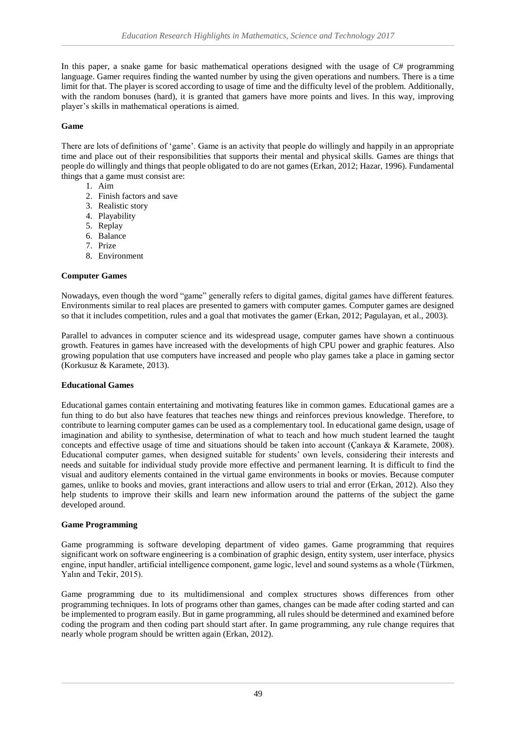In this paper, a snake game for basic mathematical operations designed with the usage of C# programming language. Gamer requires finding the wanted number by using the given operations and numbers. There is a time limit for that. The player is scored according to usage of time and the difficulty level of the problem. Additionally, with the random bonuses (hard), it is granted that gamers have more points and lives. In this way, improving player's skills in mathematical operations is aimed.

# **Game**

There are lots of definitions of 'game'. Game is an activity that people do willingly and happily in an appropriate time and place out of their responsibilities that supports their mental and physical skills. Games are things that people do willingly and things that people obligated to do are not games (Erkan, 2012; Hazar, 1996). Fundamental things that a game must consist are:

- 1. Aim
- 2. Finish factors and save
- 3. Realistic story
- 4. Playability
- 5. Replay
- 6. Balance
- 7. Prize
- 8. Environment

#### **Computer Games**

Nowadays, even though the word "game" generally refers to digital games, digital games have different features. Environments similar to real places are presented to gamers with computer games. Computer games are designed so that it includes competition, rules and a goal that motivates the gamer (Erkan, 2012; Pagulayan, et al., 2003).

Parallel to advances in computer science and its widespread usage, computer games have shown a continuous growth. Features in games have increased with the developments of high CPU power and graphic features. Also growing population that use computers have increased and people who play games take a place in gaming sector (Korkusuz & Karamete, 2013).

#### **Educational Games**

Educational games contain entertaining and motivating features like in common games. Educational games are a fun thing to do but also have features that teaches new things and reinforces previous knowledge. Therefore, to contribute to learning computer games can be used as a complementary tool. In educational game design, usage of imagination and ability to synthesise, determination of what to teach and how much student learned the taught concepts and effective usage of time and situations should be taken into account (Çankaya & Karamete, 2008). Educational computer games, when designed suitable for students' own levels, considering their interests and needs and suitable for individual study provide more effective and permanent learning. It is difficult to find the visual and auditory elements contained in the virtual game environments in books or movies. Because computer games, unlike to books and movies, grant interactions and allow users to trial and error (Erkan, 2012). Also they help students to improve their skills and learn new information around the patterns of the subject the game developed around.

#### **Game Programming**

Game programming is software developing department of video games. Game programming that requires significant work on software engineering is a combination of graphic design, entity system, user interface, physics engine, input handler, artificial intelligence component, game logic, level and sound systems as a whole (Türkmen, Yalın and Tekir, 2015).

Game programming due to its multidimensional and complex structures shows differences from other programming techniques. In lots of programs other than games, changes can be made after coding started and can be implemented to program easily. But in game programming, all rules should be determined and examined before coding the program and then coding part should start after. In game programming, any rule change requires that nearly whole program should be written again (Erkan, 2012).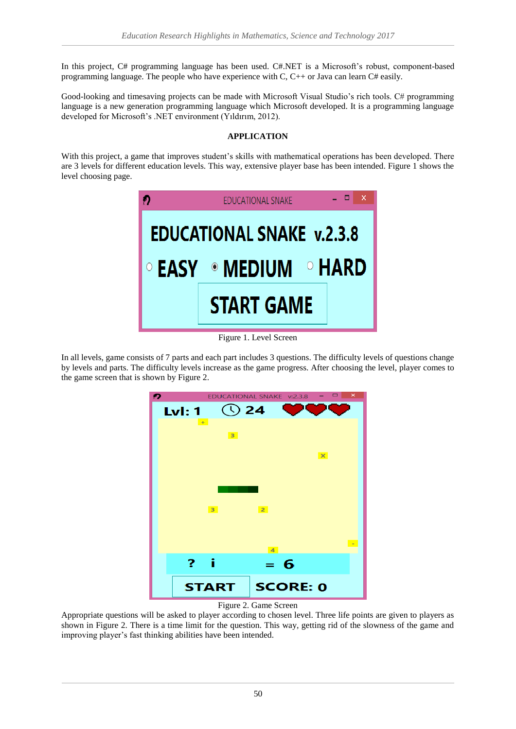In this project, C# programming language has been used. C#.NET is a Microsoft's robust, component-based programming language. The people who have experience with C,  $C_{+}$  or Java can learn  $C_{+}$  easily.

Good-looking and timesaving projects can be made with Microsoft Visual Studio's rich tools. C# programming language is a new generation programming language which Microsoft developed. It is a programming language developed for Microsoft's .NET environment (Yıldırım, 2012).

# **APPLICATION**

With this project, a game that improves student's skills with mathematical operations has been developed. There are 3 levels for different education levels. This way, extensive player base has been intended. Figure 1 shows the level choosing page.



Figure 1. Level Screen

In all levels, game consists of 7 parts and each part includes 3 questions. The difficulty levels of questions change by levels and parts. The difficulty levels increase as the game progress. After choosing the level, player comes to the game screen that is shown by Figure 2.





Appropriate questions will be asked to player according to chosen level. Three life points are given to players as shown in Figure 2. There is a time limit for the question. This way, getting rid of the slowness of the game and improving player's fast thinking abilities have been intended.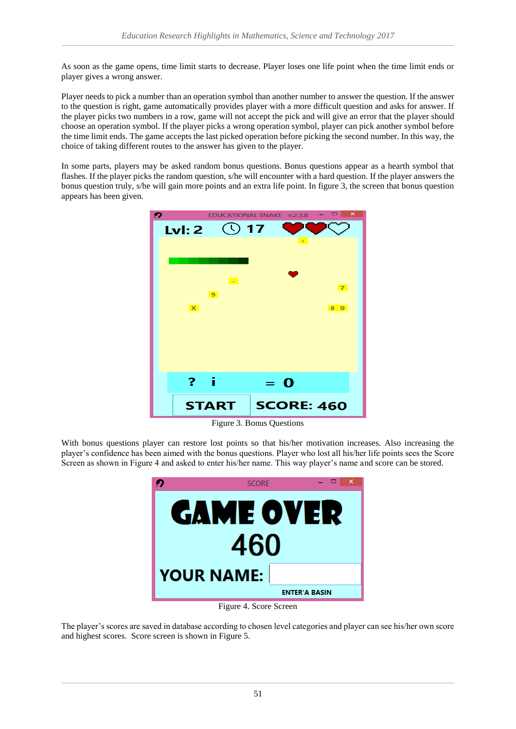As soon as the game opens, time limit starts to decrease. Player loses one life point when the time limit ends or player gives a wrong answer.

Player needs to pick a number than an operation symbol than another number to answer the question. If the answer to the question is right, game automatically provides player with a more difficult question and asks for answer. If the player picks two numbers in a row, game will not accept the pick and will give an error that the player should choose an operation symbol. If the player picks a wrong operation symbol, player can pick another symbol before the time limit ends. The game accepts the last picked operation before picking the second number. In this way, the choice of taking different routes to the answer has given to the player.

In some parts, players may be asked random bonus questions. Bonus questions appear as a hearth symbol that flashes. If the player picks the random question, s/he will encounter with a hard question. If the player answers the bonus question truly, s/he will gain more points and an extra life point. In figure 3, the screen that bonus question appears has been given.



Figure 3. Bonus Questions

With bonus questions player can restore lost points so that his/her motivation increases. Also increasing the player's confidence has been aimed with the bonus questions. Player who lost all his/her life points sees the Score Screen as shown in Figure 4 and asked to enter his/her name. This way player's name and score can be stored.



Figure 4. Score Screen

The player's scores are saved in database according to chosen level categories and player can see his/her own score and highest scores. Score screen is shown in Figure 5.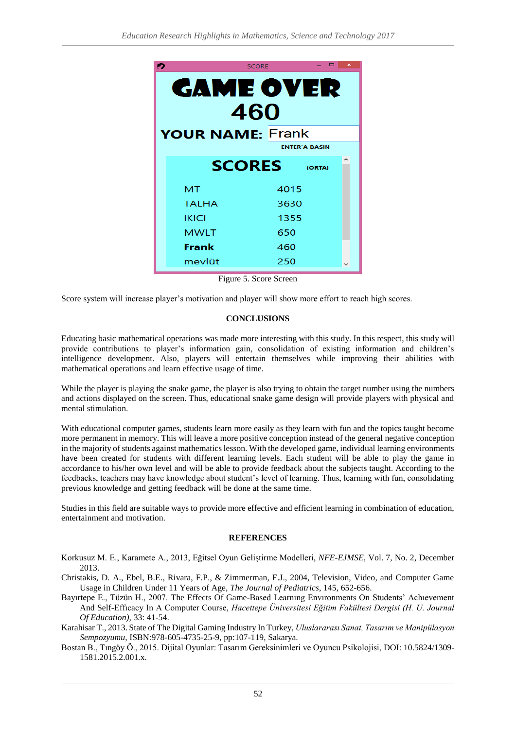| <b>SCORE</b>            |               |        | $\pmb{\times}$ |
|-------------------------|---------------|--------|----------------|
| <b>GAME OVER</b><br>460 |               |        |                |
| <b>YOUR NAME: Frank</b> |               |        |                |
| <b>ENTER'A BASIN</b>    |               |        |                |
|                         | <b>SCORES</b> | (ORTA) |                |
| MT                      |               | 4015   |                |
| <b>TALHA</b>            |               | 3630   |                |
| <b>IKICI</b>            |               | 1355   |                |
| <b>MWLT</b>             |               | 650    |                |
| Frank                   | 460           |        |                |
| mevlüt                  | 250           |        |                |

Figure 5. Score Screen

Score system will increase player's motivation and player will show more effort to reach high scores.

## **CONCLUSIONS**

Educating basic mathematical operations was made more interesting with this study. In this respect, this study will provide contributions to player's information gain, consolidation of existing information and children's intelligence development. Also, players will entertain themselves while improving their abilities with mathematical operations and learn effective usage of time.

While the player is playing the snake game, the player is also trying to obtain the target number using the numbers and actions displayed on the screen. Thus, educational snake game design will provide players with physical and mental stimulation.

With educational computer games, students learn more easily as they learn with fun and the topics taught become more permanent in memory. This will leave a more positive conception instead of the general negative conception in the majority of students against mathematics lesson. With the developed game, individual learning environments have been created for students with different learning levels. Each student will be able to play the game in accordance to his/her own level and will be able to provide feedback about the subjects taught. According to the feedbacks, teachers may have knowledge about student's level of learning. Thus, learning with fun, consolidating previous knowledge and getting feedback will be done at the same time.

Studies in this field are suitable ways to provide more effective and efficient learning in combination of education, entertainment and motivation.

## **REFERENCES**

- Korkusuz M. E., Karamete A., 2013, Eğitsel Oyun Geliştirme Modelleri, *NFE-EJMSE*, Vol. 7, No. 2, December 2013.
- Christakis, D. A., Ebel, B.E., Rivara, F.P., & Zimmerman, F.J., 2004, Television, Video, and Computer Game Usage in Children Under 11 Years of Age, *The Journal of Pediatrics*, 145, 652-656.
- Bayırtepe E., Tüzün H., 2007. The Effects Of Game-Based Learnıng Envıronments On Students' Achıevement And Self-Effıcacy In A Computer Course, *Hacettepe Üniversitesi Eğitim Fakültesi Dergisi (H. U. Journal Of Education),* 33: 41-54.

Karahisar T., 2013. State of The Digital Gaming Industry In Turkey, *Uluslararası Sanat, Tasarım ve Manipülasyon Sempozyumu*, ISBN:978-605-4735-25-9, pp:107-119, Sakarya.

Bostan B., Tıngöy Ö., 2015. Dijital Oyunlar: Tasarım Gereksinimleri ve Oyuncu Psikolojisi, DOI: 10.5824/1309- 1581.2015.2.001.x.